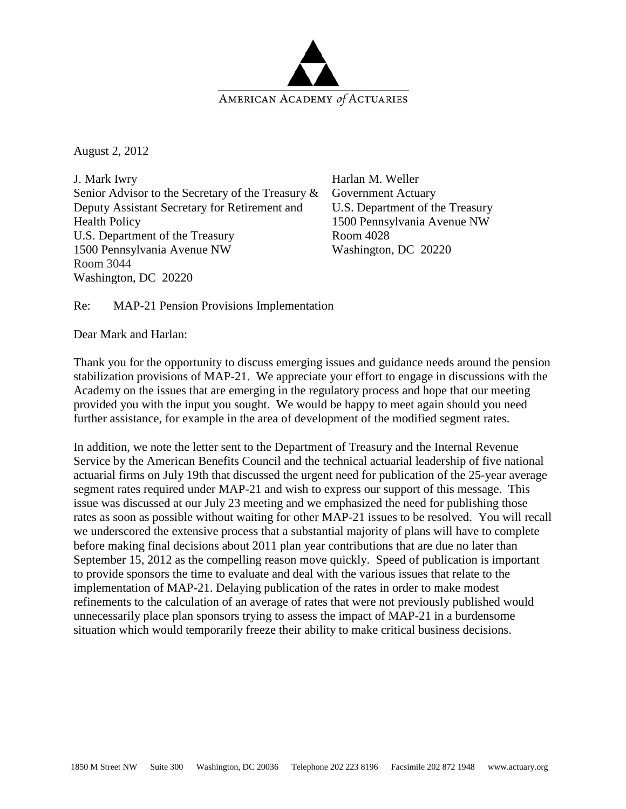

August 2, 2012

J. Mark Iwry Senior Advisor to the Secretary of the Treasury & Deputy Assistant Secretary for Retirement and Health Policy U.S. Department of the Treasury 1500 Pennsylvania Avenue NW Room 3044 Washington, DC 20220

Harlan M. Weller Government Actuary U.S. Department of the Treasury 1500 Pennsylvania Avenue NW Room 4028 Washington, DC 20220

Re: MAP-21 Pension Provisions Implementation

Dear Mark and Harlan:

Thank you for the opportunity to discuss emerging issues and guidance needs around the pension stabilization provisions of MAP-21. We appreciate your effort to engage in discussions with the Academy on the issues that are emerging in the regulatory process and hope that our meeting provided you with the input you sought. We would be happy to meet again should you need further assistance, for example in the area of development of the modified segment rates.

In addition, we note the letter sent to the Department of Treasury and the Internal Revenue Service by the American Benefits Council and the technical actuarial leadership of five national actuarial firms on July 19th that discussed the urgent need for publication of the 25-year average segment rates required under MAP-21 and wish to express our support of this message. This issue was discussed at our July 23 meeting and we emphasized the need for publishing those rates as soon as possible without waiting for other MAP-21 issues to be resolved. You will recall we underscored the extensive process that a substantial majority of plans will have to complete before making final decisions about 2011 plan year contributions that are due no later than September 15, 2012 as the compelling reason move quickly. Speed of publication is important to provide sponsors the time to evaluate and deal with the various issues that relate to the implementation of MAP-21. Delaying publication of the rates in order to make modest refinements to the calculation of an average of rates that were not previously published would unnecessarily place plan sponsors trying to assess the impact of MAP-21 in a burdensome situation which would temporarily freeze their ability to make critical business decisions.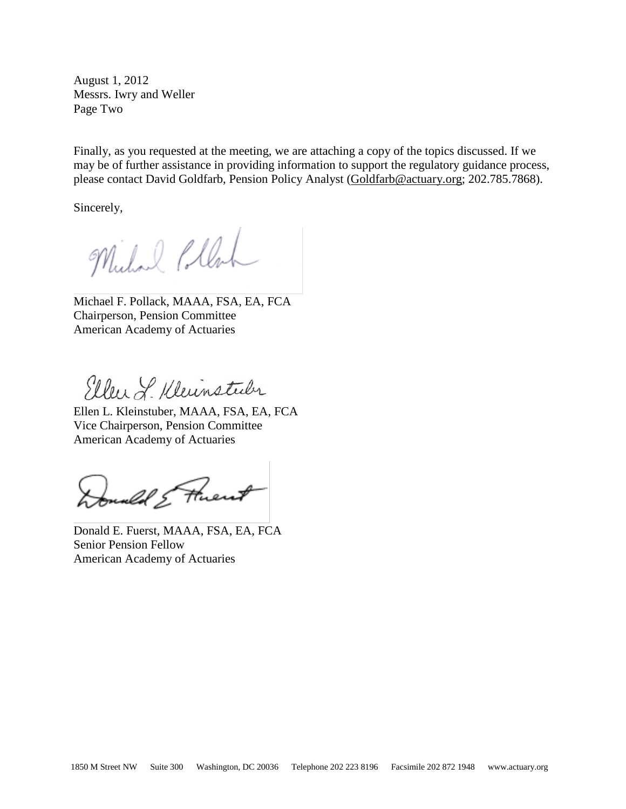August 1, 2012 Messrs. Iwry and Weller Page Two

Finally, as you requested at the meeting, we are attaching a copy of the topics discussed. If we may be of further assistance in providing information to support the regulatory guidance process, please contact David Goldfarb, Pension Policy Analyst [\(Goldfarb@actuary.org;](mailto:Goldfarb@actuary.org) 202.785.7868).

Sincerely,

Michael Pollac

Michael F. Pollack, MAAA, FSA, EA, FCA Chairperson, Pension Committee American Academy of Actuaries

Eller J. Kleinstader

Ellen L. Kleinstuber, MAAA, FSA, EA, FCA Vice Chairperson, Pension Committee American Academy of Actuaries

Donald & Fluent

Donald E. Fuerst, MAAA, FSA, EA, FCA Senior Pension Fellow American Academy of Actuaries